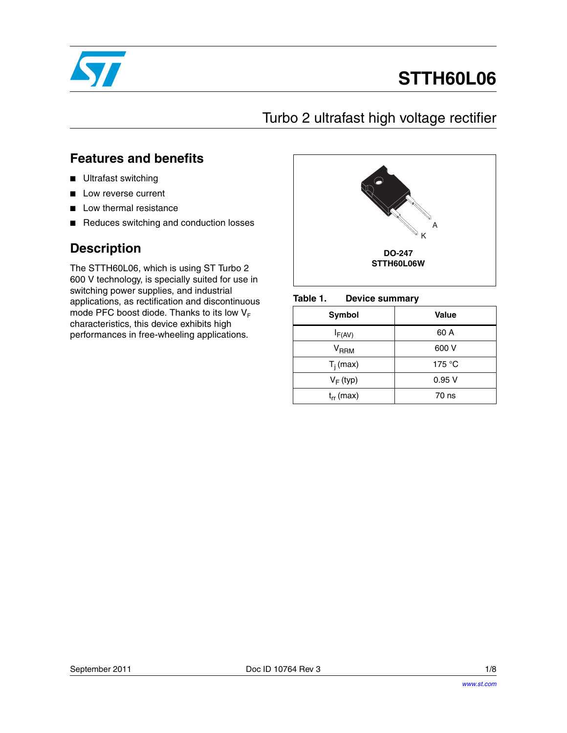

# **STTH60L06**

## Turbo 2 ultrafast high voltage rectifier

### **Features and benefits**

- Ultrafast switching
- Low reverse current
- Low thermal resistance
- Reduces switching and conduction losses

## **Description**

The STTH60L06, which is using ST Turbo 2 600 V technology, is specially suited for use in switching power supplies, and industrial applications, as rectification and discontinuous mode PFC boost diode. Thanks to its low  $V_F$ characteristics, this device exhibits high performances in free-wheeling applications.



#### Table 1. **Device summary**

| Symbol           | <b>Value</b> |
|------------------|--------------|
| $I_{F(AV)}$      | 60 A         |
| V <sub>RRM</sub> | 600 V        |
| $T_i$ (max)      | 175 °C       |
| $V_F$ (typ)      | 0.95V        |
| $t_{rr}$ (max)   | 70 ns        |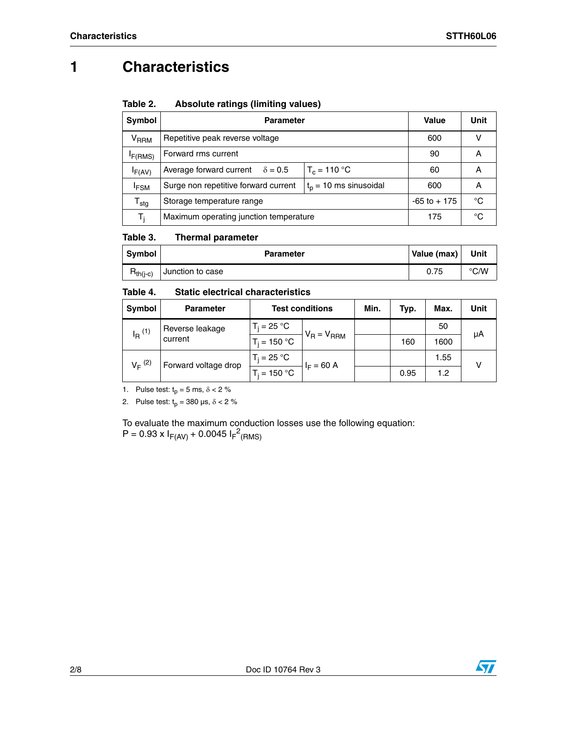## **1 Characteristics**

### Table 2. **Table 2. Absolute ratings (limiting values)**

| Symbol                    | <b>Parameter</b>                                                | Value           | Unit |   |  |
|---------------------------|-----------------------------------------------------------------|-----------------|------|---|--|
| <b>V<sub>RRM</sub></b>    | Repetitive peak reverse voltage                                 | 600             |      |   |  |
| F(RMS)                    | Forward rms current                                             |                 |      |   |  |
| IF(AV)                    | Average forward current<br>$\delta = 0.5$                       | $T_c = 110 °C$  | 60   | A |  |
| <b>IFSM</b>               | $tp$ = 10 ms sinusoidal<br>Surge non repetitive forward current | 600             | А    |   |  |
| $\mathsf{T}_{\text{stg}}$ | Storage temperature range                                       | $-65$ to $+175$ | °C   |   |  |
| т,                        | Maximum operating junction temperature                          | 175             | °C   |   |  |

### Table 3. **Thermal parameter**

| <b>Symbol</b> | <b>Parameter</b> | Value (max) | Unit          |
|---------------|------------------|-------------|---------------|
| $R_{th(i-c)}$ | Junction to case | 0.75        | $\degree$ C/W |

### Table 4. **Static electrical characteristics**

| Symbol               | <b>Parameter</b>     | <b>Test conditions</b> |                 | Min. | Typ. | Max. | Unit |
|----------------------|----------------------|------------------------|-----------------|------|------|------|------|
| $I_R$ <sup>(1)</sup> | Reverse leakage      | $T_i = 25 °C$          |                 |      |      | 50   | μA   |
|                      | current              | $T_i = 150 °C$         | $V_R = V_{RRM}$ |      | 160  | 1600 |      |
| $V_F^{(2)}$          | Forward voltage drop | $T_i = 25 °C$          | $I_F = 60 A$    |      |      | 1.55 |      |
|                      |                      | $T_i = 150 °C$         |                 |      | 0.95 | 1.2  |      |

1. Pulse test:  $t_p = 5$  ms,  $\delta < 2$  %

2. Pulse test:  $t_p = 380 \text{ }\mu\text{s}, \delta < 2 \text{ }\%$ 

To evaluate the maximum conduction losses use the following equation:  $P = 0.93 \times I_{F(AV)} + 0.0045 I_{F}^{2}$ (RMS)

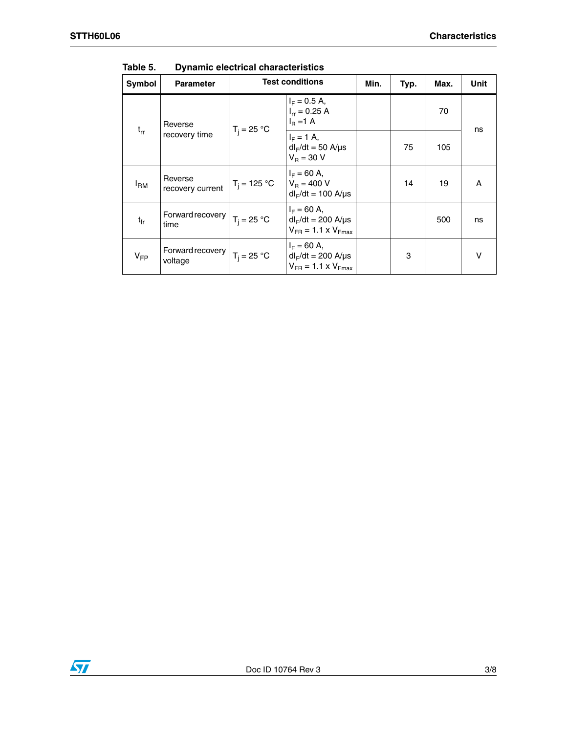| Symbol       | <b>Parameter</b>            |                | <b>Test conditions</b>                                                      | Min. | Typ. | Max. | Unit   |
|--------------|-----------------------------|----------------|-----------------------------------------------------------------------------|------|------|------|--------|
|              | Reverse                     | $T_i = 25 °C$  | $I_F = 0.5 A$ ,<br>$I_{rr} = 0.25 A$<br>$IB = 1$ A                          |      |      | 70   | ns     |
| $t_{rr}$     | recovery time               |                | $I_F = 1$ A,<br>$dl_F/dt = 50$ A/ $\mu$ s<br>$V_B = 30 V$                   |      | 75   | 105  |        |
| $I_{\rm RM}$ | Reverse<br>recovery current | $T_i = 125 °C$ | $I_F = 60 A$ ,<br>$V_{\rm B} = 400 V$<br>$dl_F/dt = 100$ A/ $\mu$ s         |      | 14   | 19   | A      |
| tfr          | Forward recovery<br>time    | $T_i = 25 °C$  | $I_F = 60 A$ ,<br>$dl_F/dt = 200$ A/µs<br>$V_{FR}$ = 1.1 x $V_{Fmax}$       |      |      | 500  | ns     |
| $V_{FP}$     | Forward recovery<br>voltage | $T_i = 25 °C$  | $I_F = 60 A$ ,<br>$dl_F/dt = 200$ A/ $\mu s$<br>$V_{FR}$ = 1.1 x $V_{Fmax}$ |      | 3    |      | $\vee$ |

Table 5. **Dynamic electrical characteristics** 

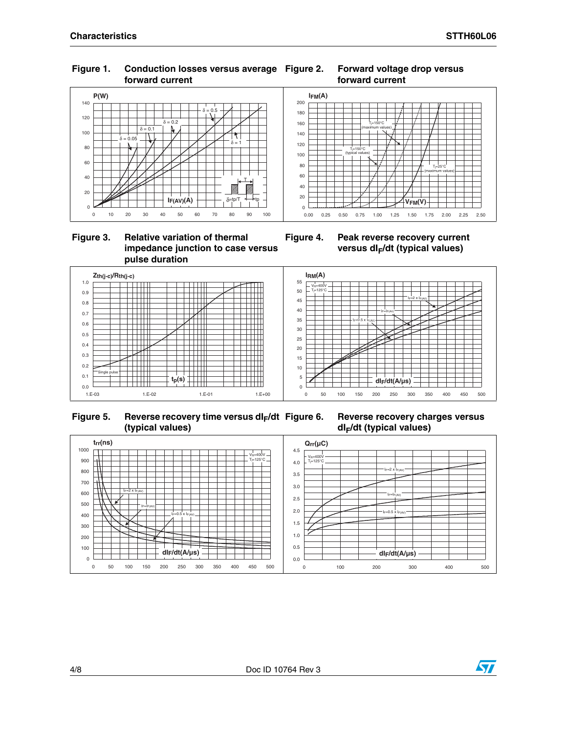### **Figure 1. Conduction losses versus average forward current**







**Figure 4. Peak reverse recovery current**  versus dl<sub>F</sub>/dt (typical values)



 **Figure 5. Reverse recovery time versus dIF/dt (typical values)**

**Reverse recovery charges versus dIF/dt (typical values)**



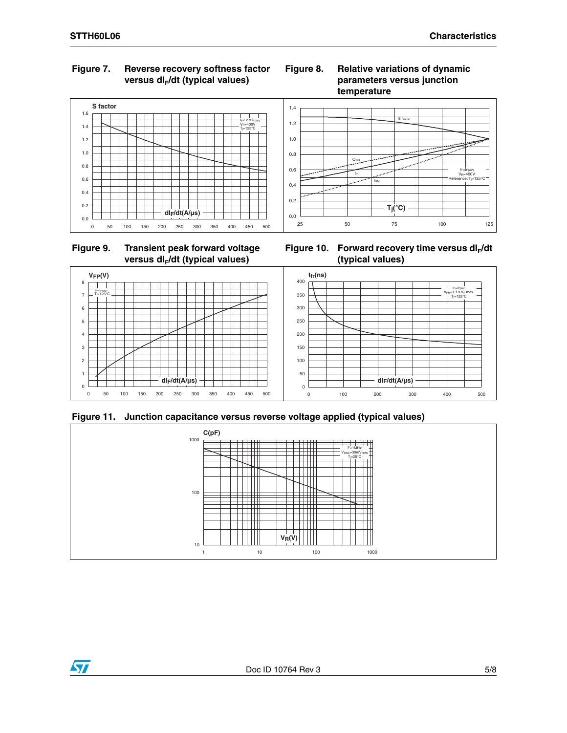### **Figure 7. Reverse recovery softness factor**  versus dl<sub>E</sub>/dt (typical values)



### **Figure 9. Transient peak forward voltage**  versus dl<sub>F</sub>/dt (typical values)



**Figure 8. Relative variations of dynamic** 

**parameters versus junction** 







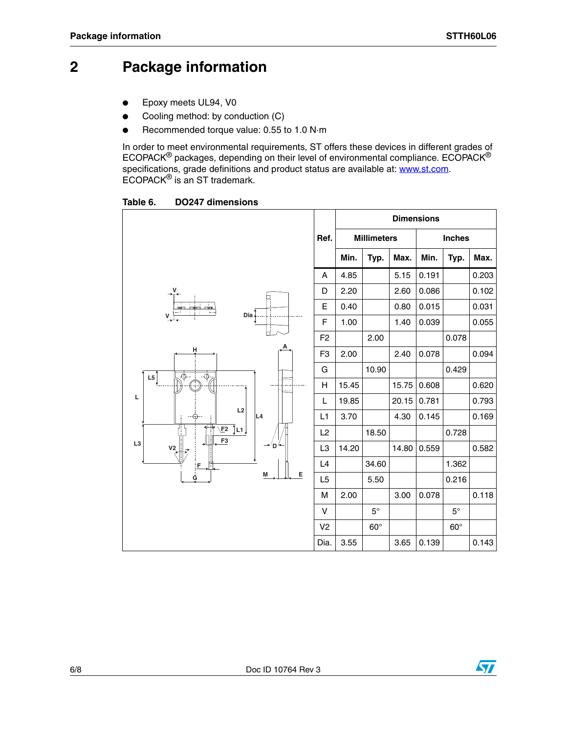## **2 Package information**

- Epoxy meets UL94, V0
- Cooling method: by conduction (C)
- Recommended torque value: 0.55 to 1.0 N·m

In order to meet environmental requirements, ST offers these devic[es in differen](http://www.st.com)t grades of ECOPACK® packages, depending on their level of environmental compliance. ECOPACK® specifications, grade definitions and product status are available at: **www.st.com**. ECOPACK® is an ST trademark.

**Table 6. DO247 dimensions**

|                                           |                | <b>Dimensions</b> |                    |       |               |            |       |
|-------------------------------------------|----------------|-------------------|--------------------|-------|---------------|------------|-------|
|                                           | Ref.           |                   | <b>Millimeters</b> |       | <b>Inches</b> |            |       |
|                                           |                | Min.              | Typ.               | Max.  | Min.          | Typ.       | Max.  |
|                                           | Α              | 4.85              |                    | 5.15  | 0.191         |            | 0.203 |
|                                           | D              | 2.20              |                    | 2.60  | 0.086         |            | 0.102 |
| ட்<br>$Dia$                               | E              | 0.40              |                    | 0.80  | 0.015         |            | 0.031 |
| $\mathsf{v}\downarrow$                    | F              | 1.00              |                    | 1.40  | 0.039         |            | 0.055 |
|                                           | F <sub>2</sub> |                   | 2.00               |       |               | 0.078      |       |
| H                                         | F <sub>3</sub> | 2.00              |                    | 2.40  | 0.078         |            | 0.094 |
| L5<br>$\ddot{\Phi}$<br>क़                 | G              |                   | 10.90              |       |               | 0.429      |       |
| $\sim$                                    | H              | 15.45             |                    | 15.75 | 0.608         |            | 0.620 |
| L                                         | L              | 19.85             |                    | 20.15 | 0.781         |            | 0.793 |
| L2<br>L4                                  | L1             | 3.70              |                    | 4.30  | 0.145         |            | 0.169 |
| Tূ∟1 ∫<br>E2<br>F3                        | L2             |                   | 18.50              |       |               | 0.728      |       |
| L <sub>3</sub><br>→′D <sup>′4</sup><br>V2 | L <sub>3</sub> | 14.20             |                    | 14.80 | 0.559         |            | 0.582 |
| F                                         | L4             |                   | 34.60              |       |               | 1.362      |       |
| Е<br>M<br>Ġ                               | L <sub>5</sub> |                   | 5.50               |       |               | 0.216      |       |
|                                           | М              | 2.00              |                    | 3.00  | 0.078         |            | 0.118 |
|                                           | V              |                   | $5^{\circ}$        |       |               | $5^\circ$  |       |
|                                           | V <sub>2</sub> |                   | $60^\circ$         |       |               | $60^\circ$ |       |
|                                           | Dia.           | $3.55\,$          |                    | 3.65  | 0.139         |            | 0.143 |

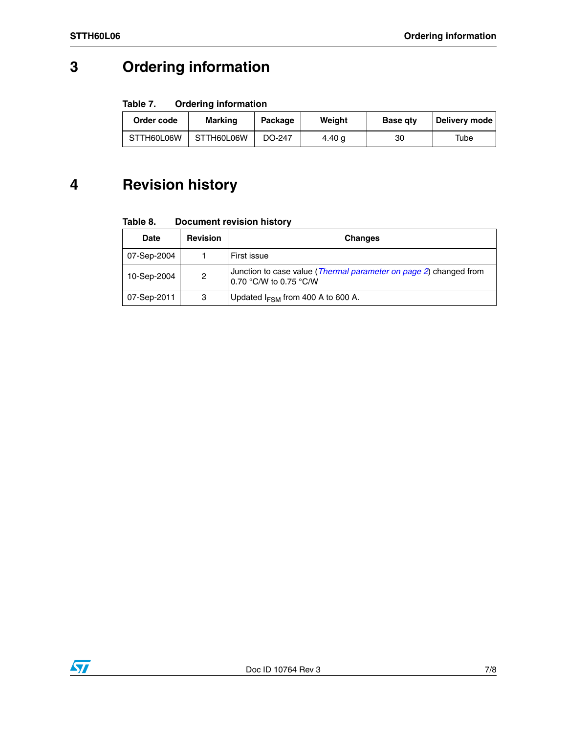## **3 Ordering information**

### Table 7. **Ordering information**

| Order code | <b>Marking</b> | Package | Weight | <b>Base atv</b> | Delivery mode |
|------------|----------------|---------|--------|-----------------|---------------|
| STTH60L06W | STTH60L06W     | DO-247  | 4.40 g | 30              | Tube          |

## **4 Revision history**

#### Table 8. **Document revision history**

| Date        | <b>Revision</b> | <b>Changes</b>                                                                              |
|-------------|-----------------|---------------------------------------------------------------------------------------------|
| 07-Sep-2004 |                 | First issue                                                                                 |
| 10-Sep-2004 | 2               | Junction to case value (Thermal parameter on page 2) changed from<br>0.70 °C/W to 0.75 °C/W |
| 07-Sep-2011 | 3               | Updated $I_{FSM}$ from 400 A to 600 A.                                                      |